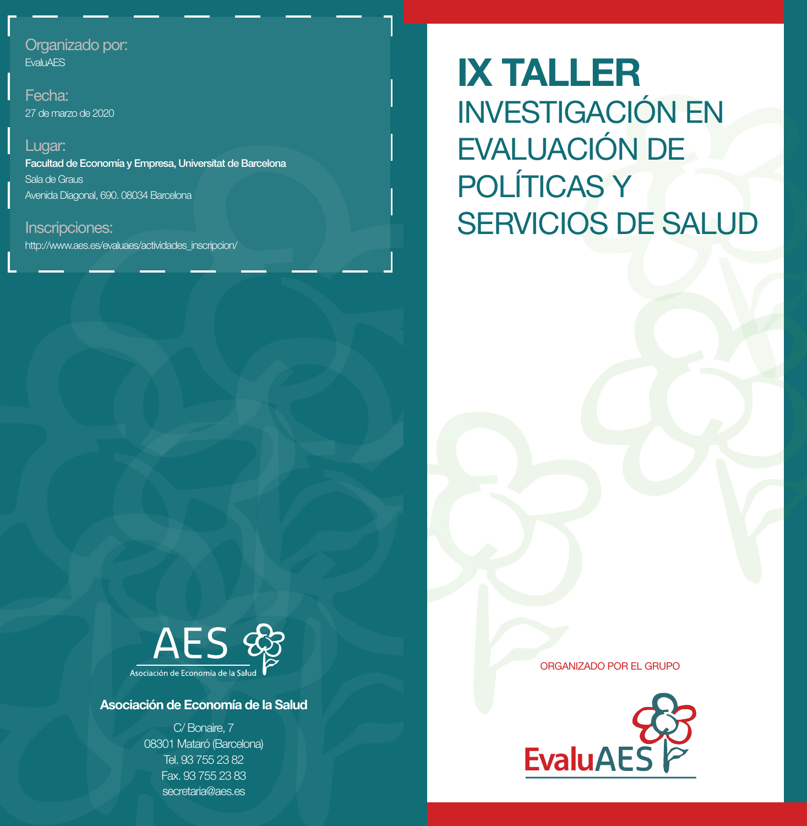## Organizado por:

**EvaluAES** 

Fecha: 27 de marzo de 2020

Lugar: Facultad de Economía y Empresa, Universitat de Barcelona Sala de Graus Avenida Diagonal, 690. 08034 Barcelona

Inscripciones: http://www.aes.es/evaluaes/actividades\_inscripcion/ **IX TALLER**  INVESTIGACIÓN EN EVALUACIÓN DE POLÍTICAS Y SERVICIOS DE SALUD



## **Asociación de Economía de la Salud**

C/ Bonaire, 7 08301 Mataró (Barcelona) Tel. 93 755 23 82 Fax. 93 755 23 83 secretaria@aes.es

ORGANIZADO POR EL GRUPO